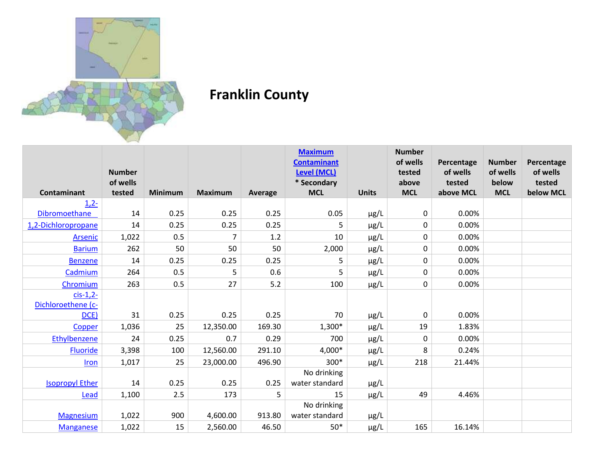

## **Franklin County**

|                        |               |                |                |         | <b>Maximum</b><br><b>Contaminant</b> |              | <b>Number</b><br>of wells | Percentage | <b>Number</b> | Percentage |
|------------------------|---------------|----------------|----------------|---------|--------------------------------------|--------------|---------------------------|------------|---------------|------------|
|                        | <b>Number</b> |                |                |         | <b>Level (MCL)</b>                   |              | tested                    | of wells   | of wells      | of wells   |
|                        | of wells      |                |                |         | * Secondary                          |              | above                     | tested     | below         | tested     |
| <b>Contaminant</b>     | tested        | <b>Minimum</b> | <b>Maximum</b> | Average | <b>MCL</b>                           | <b>Units</b> | <b>MCL</b>                | above MCL  | <b>MCL</b>    | below MCL  |
| $1,2-$                 |               |                |                |         |                                      |              |                           |            |               |            |
| Dibromoethane          | 14            | 0.25           | 0.25           | 0.25    | 0.05                                 | $\mu$ g/L    | 0                         | 0.00%      |               |            |
| 1,2-Dichloropropane    | 14            | 0.25           | 0.25           | 0.25    | 5                                    | $\mu$ g/L    | 0                         | 0.00%      |               |            |
| Arsenic                | 1,022         | 0.5            | 7              | 1.2     | 10                                   | µg/L         | 0                         | 0.00%      |               |            |
| <b>Barium</b>          | 262           | 50             | 50             | 50      | 2,000                                | $\mu$ g/L    | 0                         | 0.00%      |               |            |
| <b>Benzene</b>         | 14            | 0.25           | 0.25           | 0.25    | 5                                    | $\mu$ g/L    | 0                         | 0.00%      |               |            |
| Cadmium                | 264           | 0.5            | 5              | 0.6     | 5                                    | $\mu$ g/L    | 0                         | 0.00%      |               |            |
| Chromium               | 263           | 0.5            | 27             | 5.2     | 100                                  | $\mu$ g/L    | 0                         | 0.00%      |               |            |
| $cis-1,2$ -            |               |                |                |         |                                      |              |                           |            |               |            |
| Dichloroethene (c-     |               |                |                |         |                                      |              |                           |            |               |            |
| DCE)                   | 31            | 0.25           | 0.25           | 0.25    | 70                                   | µg/L         | 0                         | 0.00%      |               |            |
| Copper                 | 1,036         | 25             | 12,350.00      | 169.30  | $1,300*$                             | $\mu$ g/L    | 19                        | 1.83%      |               |            |
| Ethylbenzene           | 24            | 0.25           | 0.7            | 0.29    | 700                                  | $\mu$ g/L    | 0                         | 0.00%      |               |            |
| <b>Fluoride</b>        | 3,398         | 100            | 12,560.00      | 291.10  | 4,000*                               | $\mu$ g/L    | 8                         | 0.24%      |               |            |
| Iron                   | 1,017         | 25             | 23,000.00      | 496.90  | 300*                                 | µg/L         | 218                       | 21.44%     |               |            |
|                        |               |                |                |         | No drinking                          |              |                           |            |               |            |
| <b>Isopropyl Ether</b> | 14            | 0.25           | 0.25           | 0.25    | water standard                       | µg/L         |                           |            |               |            |
| Lead                   | 1,100         | 2.5            | 173            | 5       | 15                                   | µg/L         | 49                        | 4.46%      |               |            |
|                        |               |                |                |         | No drinking                          |              |                           |            |               |            |
| <b>Magnesium</b>       | 1,022         | 900            | 4,600.00       | 913.80  | water standard                       | $\mu$ g/L    |                           |            |               |            |
| <b>Manganese</b>       | 1,022         | 15             | 2,560.00       | 46.50   | $50*$                                | $\mu$ g/L    | 165                       | 16.14%     |               |            |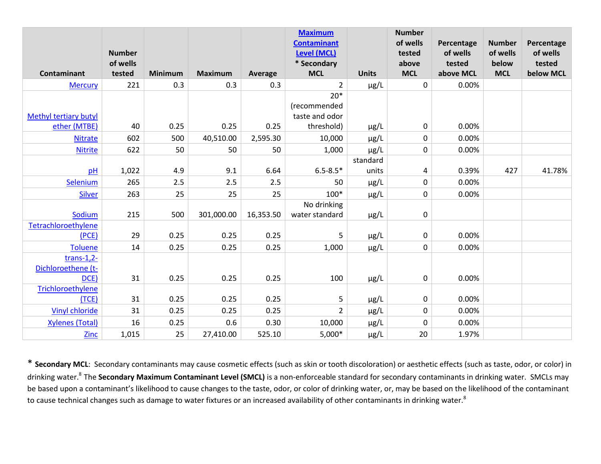|                              | <b>Number</b> |                |                |           | <b>Maximum</b><br><b>Contaminant</b><br><b>Level (MCL)</b> |              | <b>Number</b><br>of wells<br>tested | Percentage<br>of wells | <b>Number</b><br>of wells | Percentage<br>of wells |
|------------------------------|---------------|----------------|----------------|-----------|------------------------------------------------------------|--------------|-------------------------------------|------------------------|---------------------------|------------------------|
|                              | of wells      |                |                |           | * Secondary                                                |              | above                               | tested                 | below                     | tested                 |
| Contaminant                  | tested        | <b>Minimum</b> | <b>Maximum</b> | Average   | <b>MCL</b>                                                 | <b>Units</b> | <b>MCL</b>                          | above MCL              | <b>MCL</b>                | below MCL              |
| <b>Mercury</b>               | 221           | 0.3            | 0.3            | 0.3       | $\overline{2}$                                             | $\mu$ g/L    | $\mathbf 0$                         | 0.00%                  |                           |                        |
|                              |               |                |                |           | $20*$                                                      |              |                                     |                        |                           |                        |
|                              |               |                |                |           | (recommended                                               |              |                                     |                        |                           |                        |
| <b>Methyl tertiary butyl</b> |               |                |                |           | taste and odor                                             |              |                                     |                        |                           |                        |
| ether (MTBE)                 | 40            | 0.25           | 0.25           | 0.25      | threshold)                                                 | $\mu$ g/L    | $\mathbf 0$                         | 0.00%                  |                           |                        |
| <b>Nitrate</b>               | 602           | 500            | 40,510.00      | 2,595.30  | 10,000                                                     | µg/L         | 0                                   | 0.00%                  |                           |                        |
| <b>Nitrite</b>               | 622           | 50             | 50             | 50        | 1,000                                                      | µg/L         | 0                                   | 0.00%                  |                           |                        |
|                              |               |                |                |           |                                                            | standard     |                                     |                        |                           |                        |
| pH                           | 1,022         | 4.9            | 9.1            | 6.64      | $6.5 - 8.5*$                                               | units        | 4                                   | 0.39%                  | 427                       | 41.78%                 |
| Selenium                     | 265           | 2.5            | 2.5            | 2.5       | 50                                                         | µg/L         | 0                                   | 0.00%                  |                           |                        |
| <b>Silver</b>                | 263           | 25             | 25             | 25        | $100*$                                                     | $\mu$ g/L    | $\pmb{0}$                           | 0.00%                  |                           |                        |
|                              |               |                |                |           | No drinking                                                |              |                                     |                        |                           |                        |
| Sodium                       | 215           | 500            | 301,000.00     | 16,353.50 | water standard                                             | $\mu$ g/L    | 0                                   |                        |                           |                        |
| Tetrachloroethylene          |               |                |                |           |                                                            |              |                                     |                        |                           |                        |
| (PCE)                        | 29            | 0.25           | 0.25           | 0.25      | 5                                                          | $\mu$ g/L    | 0                                   | 0.00%                  |                           |                        |
| <b>Toluene</b>               | 14            | 0.25           | 0.25           | 0.25      | 1,000                                                      | µg/L         | 0                                   | 0.00%                  |                           |                        |
| $trans-1,2-$                 |               |                |                |           |                                                            |              |                                     |                        |                           |                        |
| Dichloroethene (t-           |               |                |                |           |                                                            |              |                                     |                        |                           |                        |
| DCE)                         | 31            | 0.25           | 0.25           | 0.25      | 100                                                        | $\mu$ g/L    | $\mathbf 0$                         | 0.00%                  |                           |                        |
| Trichloroethylene            |               |                |                |           |                                                            |              |                                     |                        |                           |                        |
| (TCE)                        | 31            | 0.25           | 0.25           | 0.25      | 5                                                          | μg/L         | 0                                   | 0.00%                  |                           |                        |
| <b>Vinyl chloride</b>        | 31            | 0.25           | 0.25           | 0.25      | $\overline{2}$                                             | µg/L         | 0                                   | 0.00%                  |                           |                        |
| <b>Xylenes (Total)</b>       | 16            | 0.25           | 0.6            | 0.30      | 10,000                                                     | µg/L         | 0                                   | 0.00%                  |                           |                        |
| <b>Zinc</b>                  | 1,015         | 25             | 27,410.00      | 525.10    | $5,000*$                                                   | µg/L         | 20                                  | 1.97%                  |                           |                        |

\* **Secondary MCL**: Secondary contaminants may cause cosmetic effects (such as skin or tooth discoloration) or aesthetic effects (such as taste, odor, or color) in drinking water.<sup>8</sup>The **Secondary Maximum Contaminant Level (SMCL)** is a non-enforceable standard for secondary contaminants in drinking water. SMCLs may be based upon a contaminant's likelihood to cause changes to the taste, odor, or color of drinking water, or, may be based on the likelihood of the contaminant to cause technical changes such as damage to water fixtures or an increased availability of other contaminants in drinking water.<sup>8</sup>